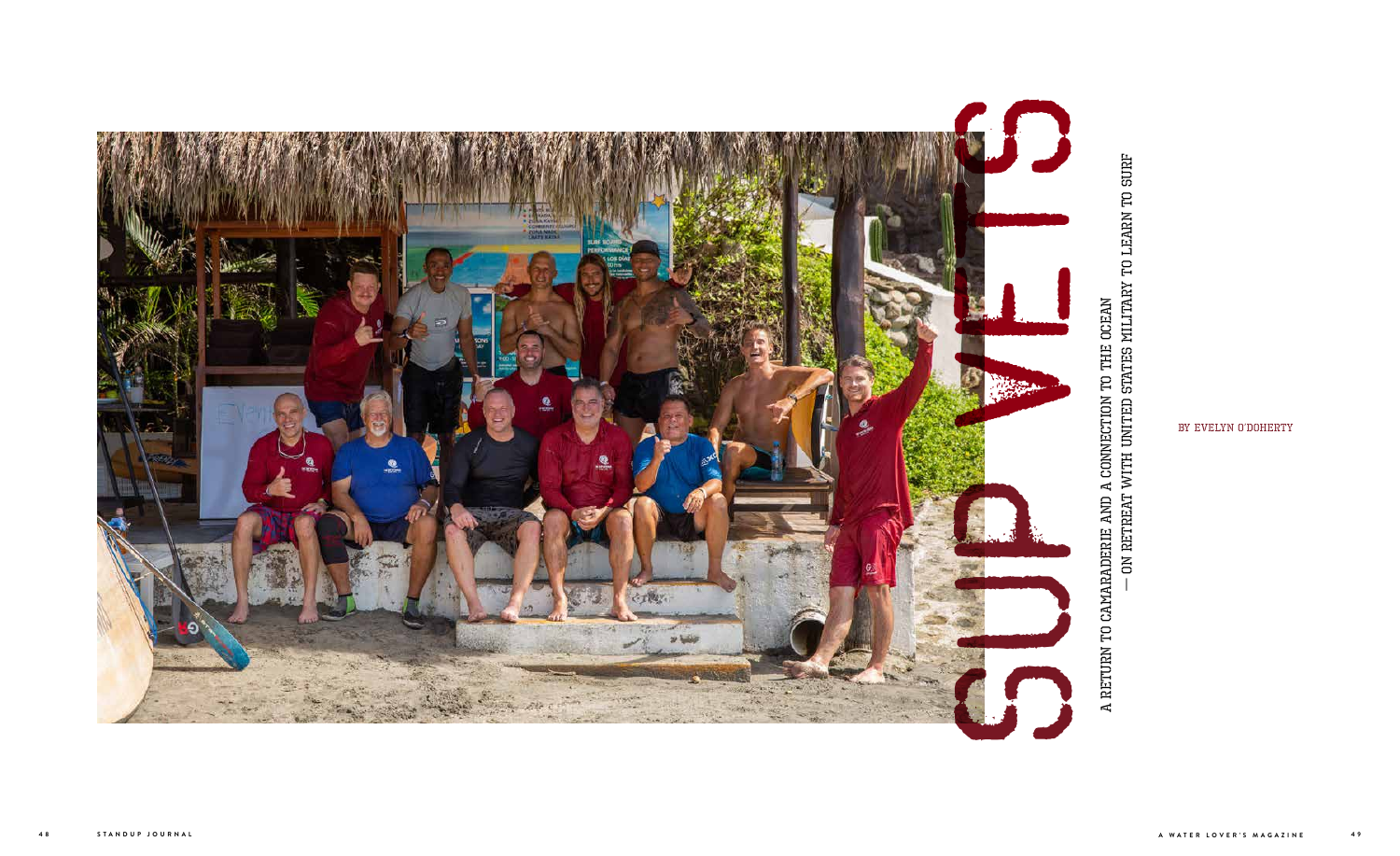A RETURN TO CAMARADERIE AND A CONNECTION TO THE OCEAN  $-$  ON RETREAT WITH UNITED STATES MILITARY TO LEARN TO SURF A Return to Camaraderie and a Connection to the Ocean

— On Retreat with United States Military to Learn to Surf



by Evelyn O'Doherty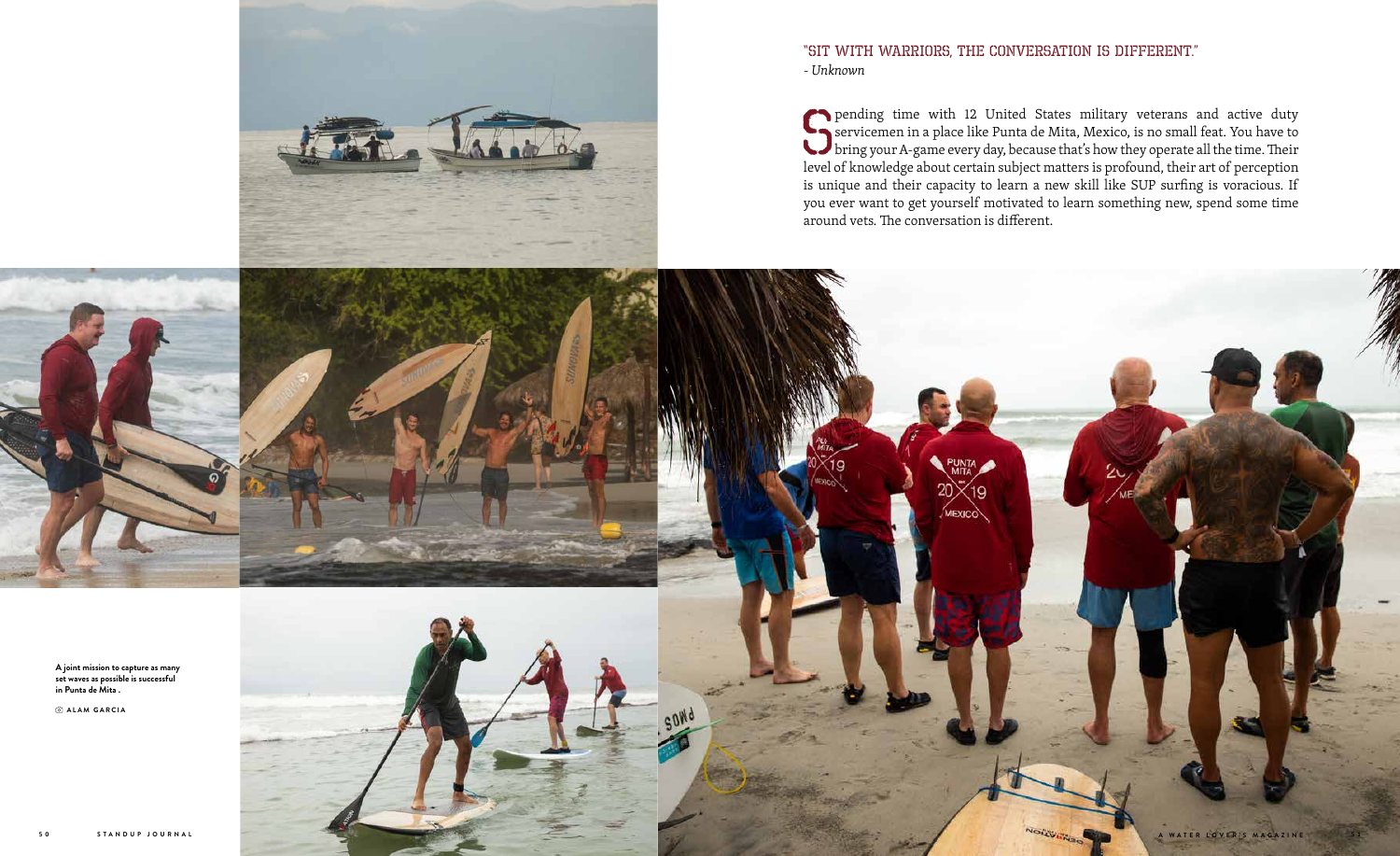

## "Sit with warriors, the conversation is different." *- Unknown*

pending time with 12 United States military veterans and active duty<br>servicemen in a place like Punta de Mita, Mexico, is no small feat. You have to<br>bring your A-game every day, because that's how they operate all the time servicemen in a place like Punta de Mita, Mexico, is no small feat. You have to bring your A-game every day, because that's how they operate all the time. Their level of knowledge about certain subject matters is profound, their art of perception is unique and their capacity to learn a new skill like SUP surfing is voracious. If you ever want to get yourself motivated to learn something new, spend some time around vets. The conversation is different.

**A joint mission to capture as many set waves as possible is successful in Punta de Mita . ALAM GARCIA**

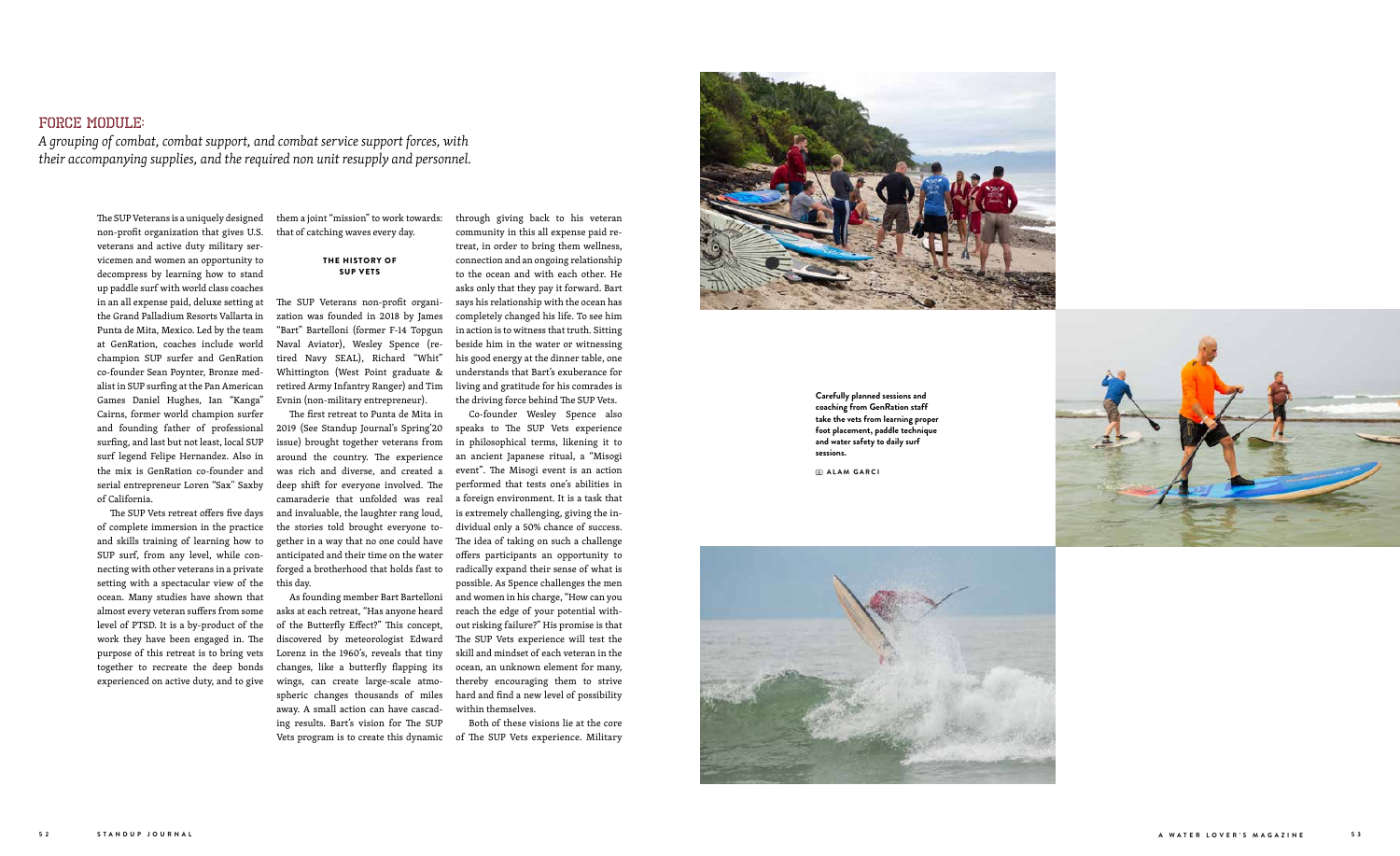The SUP Veterans is a uniquely designed non-profit organization that gives U.S. veterans and active duty military ser vicemen and women an opportunity to decompress by learning how to stand up paddle surf with world class coaches in an all expense paid, deluxe setting at the Grand Palladium Resorts Vallarta in Punta de Mita, Mexico. Led by the team at GenRation, coaches include world champion SUP surfer and GenRation co-founder Sean Poynter, Bronze med alist in SUP surfing at the Pan American Games Daniel Hughes, Ian "Kanga" Cairns, former world champion surfer and founding father of professional surfing, and last but not least, local SUP surf legend Felipe Hernandez. Also in the mix is GenRation co-founder and serial entrepreneur Loren "Sax'' Saxby of California.

The SUP Vets retreat offers five days of complete immersion in the practice and skills training of learning how to SUP surf, from any level, while con necting with other veterans in a private setting with a spectacular view of the ocean. Many studies have shown that almost every veteran suffers from some level of PTSD. It is a by-product of the work they have been engaged in. The purpose of this retreat is to bring vets together to recreate the deep bonds experienced on active duty, and to give

them a joint "mission" to work towards: that of catching waves every day.

#### THE HISTORY OF SUP VETS

The SUP Veterans non-profit organi zation was founded in 2018 by James "Bart" Bartelloni (former F-14 Topgun Naval Aviator), Wesley Spence (re tired Navy SEAL), Richard "Whit" Whittington (West Point graduate & retired Army Infantry Ranger) and Tim Evnin (non-military entrepreneur).

The first retreat to Punta de Mita in 2019 (See Standup Journal's Spring'20 issue) brought together veterans from around the country. The experience was rich and diverse, and created a deep shift for everyone involved. The camaraderie that unfolded was real and invaluable, the laughter rang loud, the stories told brought everyone to gether in a way that no one could have anticipated and their time on the water forged a brotherhood that holds fast to this day.

As founding member Bart Bartelloni asks at each retreat, "Has anyone heard of the Butterfly Effect?" This concept, discovered by meteorologist Edward Lorenz in the 1960's, reveals that tiny changes, like a butterfly flapping its wings, can create large-scale atmo spheric changes thousands of miles away. A small action can have cascad ing results. Bart's vision for The SUP

through giving back to his veteran community in this all expense paid re treat, in order to bring them wellness, connection and an ongoing relationship to the ocean and with each other. He asks only that they pay it forward. Bart says his relationship with the ocean has completely changed his life. To see him in action is to witness that truth. Sitting beside him in the water or witnessing his good energy at the dinner table, one understands that Bart's exuberance for living and gratitude for his comrades is the driving force behind The SUP Vets.

Vets program is to create this dynamic of The SUP Vets experience. Military Both of these visions lie at the core



Co-founder Wesley Spence also speaks to The SUP Vets experience in philosophical terms, likening it to an ancient Japanese ritual, a "Misogi event". The Misogi event is an action performed that tests one's abilities in a foreign environment. It is a task that is extremely challenging, giving the in dividual only a 50% chance of success. The idea of taking on such a challenge offers participants an opportunity to radically expand their sense of what is possible. As Spence challenges the men and women in his charge, "How can you reach the edge of your potential with out risking failure?" His promise is that The SUP Vets experience will test the skill and mindset of each veteran in the ocean, an unknown element for many, thereby encouraging them to strive hard and find a new level of possibility within themselves.

## FORCE MODULE:

*A grouping of combat, combat support, and combat service support forces, with their accompanying supplies, and the required non unit resupply and personnel.*

> **Carefully planned sessions and coaching from GenRation staff take the vets from learning proper foot placement, paddle technique and water safety to daily surf sessions.**

 **ALAM GARCI**



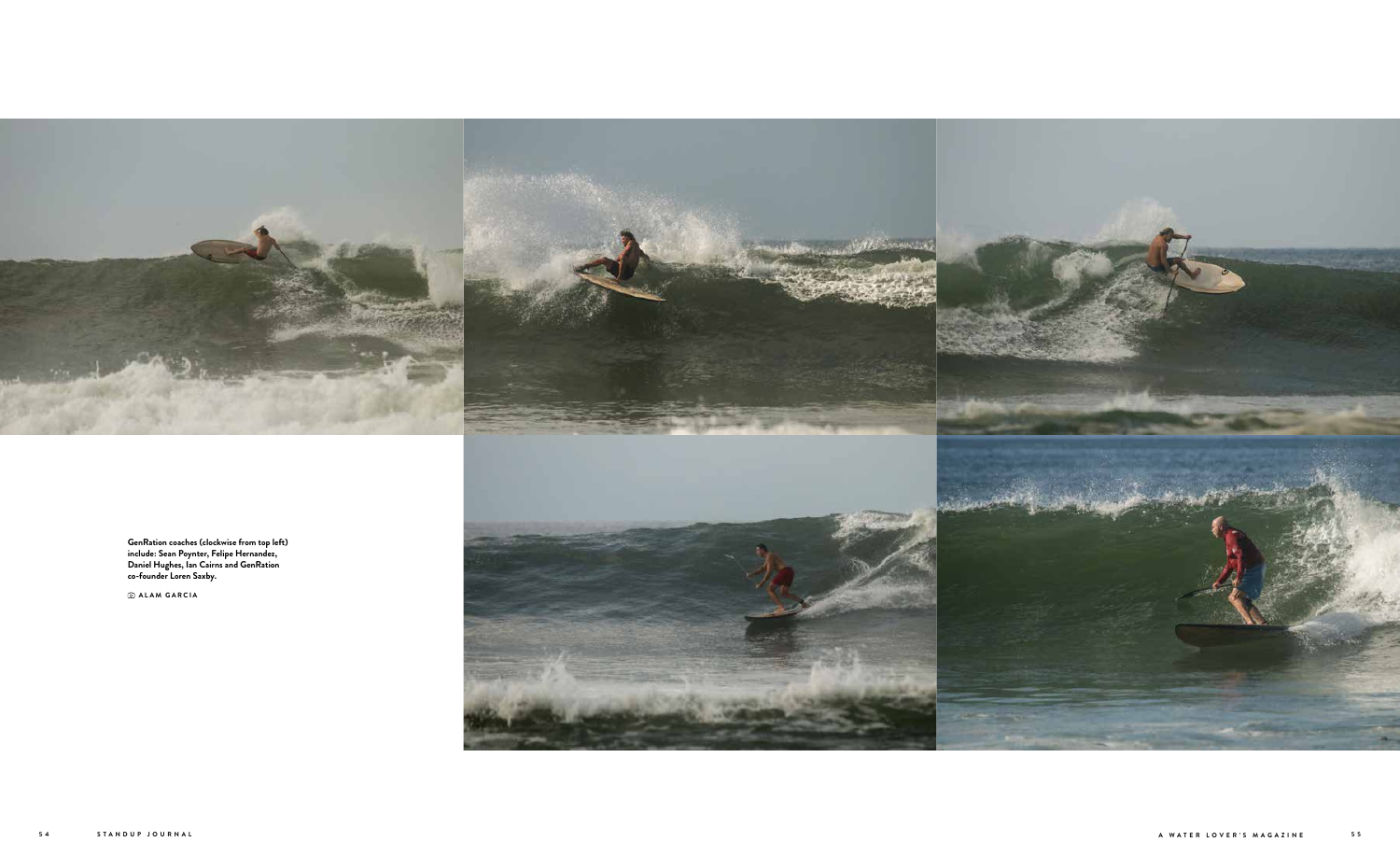

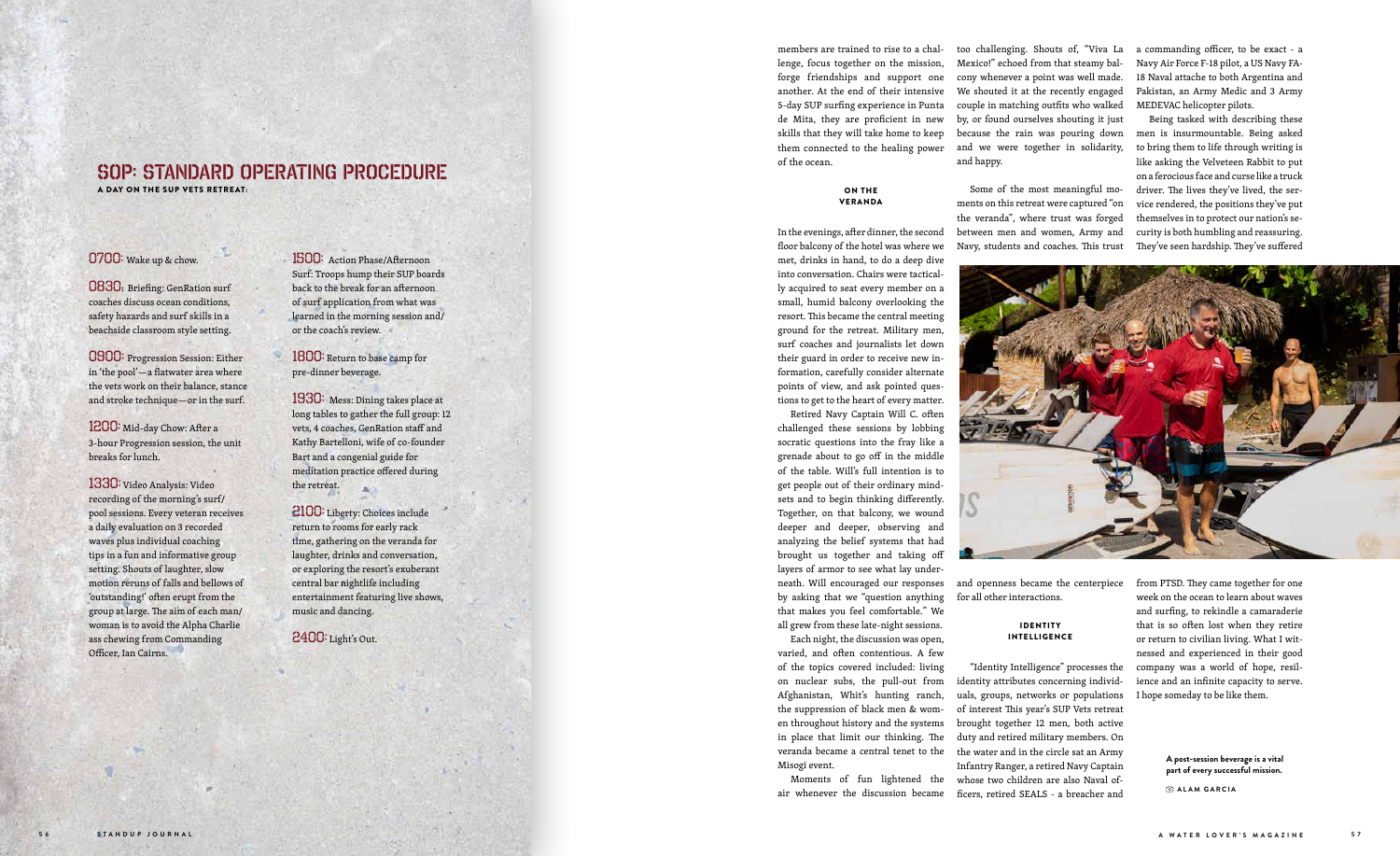members are trained to rise to a chal lenge, focus together on the mission, forge friendships and support one another. At the end of their intensive 5-day SUP surfing experience in Punta de Mita, they are proficient in new skills that they will take home to keep them connected to the healing power of the ocean.

#### ON THE VERANDA

In the evenings, after dinner, the second floor balcony of the hotel was where we

met, drinks in hand, to do a deep dive into conversation. Chairs were tactical ly acquired to seat every member on a small, humid balcony overlooking the resort. This became the central meeting ground for the retreat. Military men, surf coaches and journalists let down their guard in order to receive new in formation, carefully consider alternate points of view, and ask pointed ques tions to get to the heart of every matter.

Retired Navy Captain Will C. often challenged these sessions by lobbing socratic questions into the fray like a grenade about to go off in the middle of the table. Will's full intention is to get people out of their ordinary mind sets and to begin thinking differently. Together, on that balcony, we wound deeper and deeper, observing and analyzing the belief systems that had brought us together and taking off layers of armor to see what lay under neath. Will encouraged our responses by asking that we "question anything that makes you feel comfortable." We

#### **IDENTITY** INTELLIGENCE

all grew from these late-night sessions. Each night, the discussion was open,

varied, and often contentious. A few of the topics covered included: living on nuclear subs, the pull-out from Afghanistan, Whit's hunting ranch, the suppression of black men & wom en throughout history and the systems in place that limit our thinking. The veranda became a central tenet to the Misogi event.

Moments of fun lightened the air whenever the discussion became

too challenging. Shouts of, "Viva La Mexico!" echoed from that steamy bal cony whenever a point was well made. We shouted it at the recently engaged couple in matching outfits who walked by, or found ourselves shouting it just because the rain was pouring down and we were together in solidarity, and happy.

Some of the most meaningful mo ments on this retreat were captured "on the veranda", where trust was forged between men and women, Army and Navy, students and coaches. This trust

and openness became the centerpiece for all other interactions.

1800: Return to base camp for pre-dinner beverage.

> "Identity Intelligence" processes the identity attributes concerning individ uals, groups, networks or populations of interest This year's SUP Vets retreat brought together 12 men, both active duty and retired military members. On the water and in the circle sat an Army Infantry Ranger, a retired Navy Captain whose two children are also Naval officers, retired SEALS - a breacher and

a commanding officer, to be exact - a Navy Air Force F-18 pilot, a US Navy FA-18 Naval attache to both Argentina and Pakistan, an Army Medic and 3 Army MEDEVAC helicopter pilots.

Being tasked with describing these men is insurmountable. Being asked to bring them to life through writing is like asking the Velveteen Rabbit to put on a ferocious face and curse like a truck driver. The lives they've lived, the ser vice rendered, the positions they've put themselves in to protect our nation's se curity is both humbling and reassuring. They've seen hardship. They've suffered



from PTSD. They came together for one week on the ocean to learn about waves and surfing, to rekindle a camaraderie that is so often lost when they retire or return to civilian living. What I wit nessed and experienced in their good company was a world of hope, resil ience and an infinite capacity to serve. I hope someday to be like them.

#### 0700: Wake up & chow.

0830 : Briefing: GenRation surf coaches discuss ocean conditions, safety hazards and surf skills in a beachside classroom style setting.

0900: Progression Session: Either in 'the pool'—a flatwater area where the vets work on their balance, stance and stroke technique—or in the surf.

1200: Mid-day Chow: After a 3-hour Progression session, the unit breaks for lunch.

1330: Video Analysis: Video recording of the morning's surf/ pool sessions. Every veteran receives a daily evaluation on 3 recorded waves plus individual coaching tips in a fun and informative group setting. Shouts of laughter, slow motion reruns of falls and bellows of 'outstanding!' often erupt from the group at large. The aim of each man/ woman is to avoid the Alpha Charlie ass chewing from Commanding Officer, Ian Cairns.

1500: Action Phase/Afternoon Surf: Troops hump their SUP boards back to the break for an afternoon of surf application from what was learned in the morning session and/ or the coach's review.

1930: Mess: Dining takes place at long tables to gather the full group: 12 vets, 4 coaches, GenRation staff and Kathy Bartelloni, wife of co-founder Bart and a congenial guide for meditation practice offered during the retreat.

2100: Liberty: Choices include return to rooms for early rack time, gathering on the veranda for laughter, drinks and conversation, or exploring the resort's exuberant central bar nightlife including entertainment featuring live shows, music and dancing.

2400: Light's Out.

## SOP: STANDARD OPERATING PROCEDURE

A DAY ON THE SUP VETS RETREAT:

**A post-session beverage is a vital part of every successful mission.** 

 **ALAM GARCIA**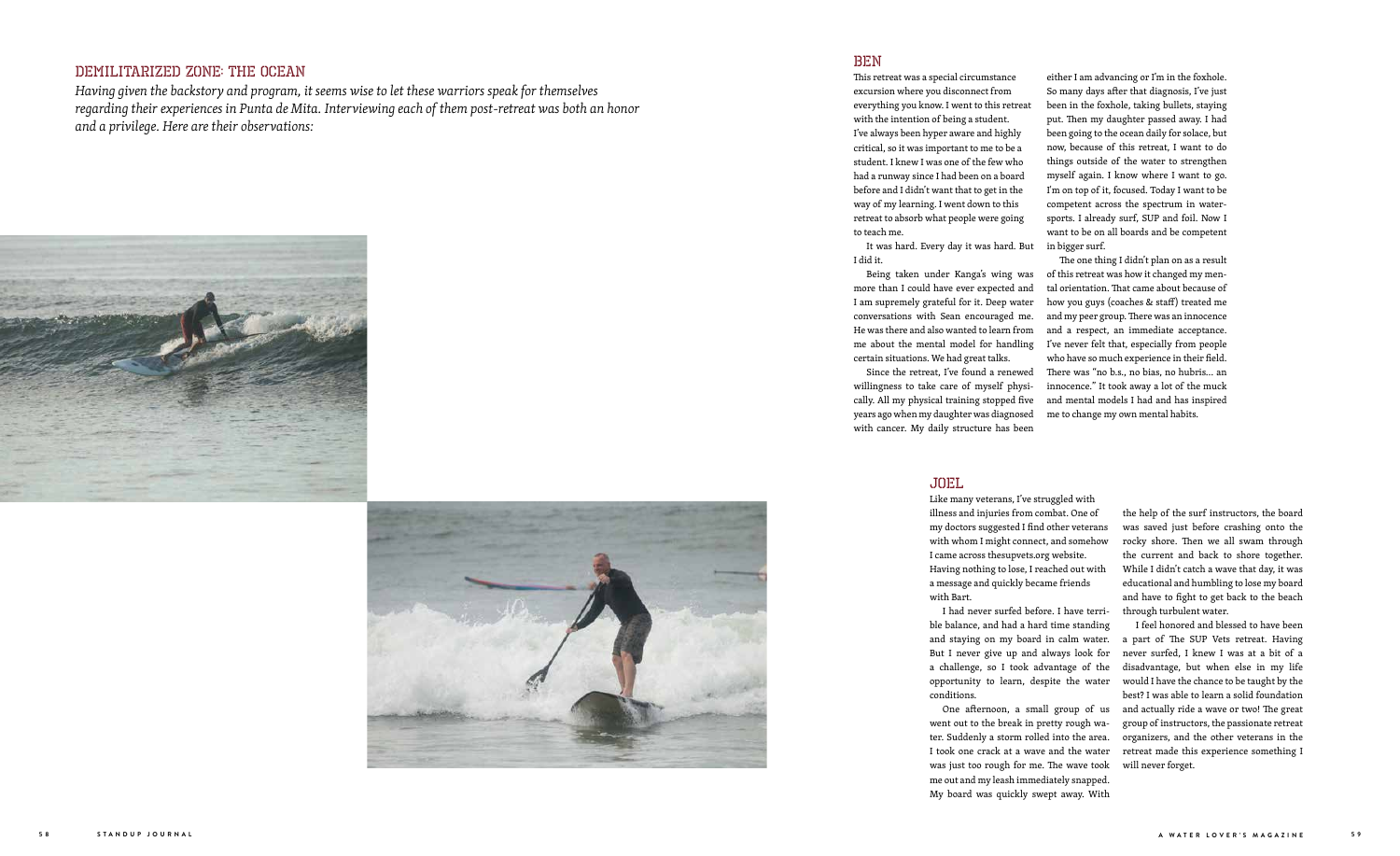## DEMILITARIZED ZONE: The Ocean

*Having given the backstory and program, it seems wise to let these warriors speak for themselves regarding their experiences in Punta de Mita. Interviewing each of them post-retreat was both an honor and a privilege. Here are their observations:*





### BEN

This retreat was a special circumstance excursion where you disconnect from everything you know. I went to this retreat with the intention of being a student. I've always been hyper aware and highly critical, so it was important to me to be a student. I knew I was one of the few who had a runway since I had been on a board before and I didn't want that to get in the way of my learning. I went down to this retreat to absorb what people were going to teach me.

It was hard. Every day it was hard. But in bigger surf. I did it.

Being taken under Kanga's wing was more than I could have ever expected and I am supremely grateful for it. Deep water conversations with Sean encouraged me. He was there and also wanted to learn from me about the mental model for handling certain situations. We had great talks.

Since the retreat, I've found a renewed willingness to take care of myself physically. All my physical training stopped five years ago when my daughter was diagnosed with cancer. My daily structure has been

either I am advancing or I'm in the foxhole. So many days after that diagnosis, I've just been in the foxhole, taking bullets, staying put. Then my daughter passed away. I had been going to the ocean daily for solace, but now, because of this retreat, I want to do things outside of the water to strengthen myself again. I know where I want to go. I'm on top of it, focused. Today I want to be competent across the spectrum in watersports. I already surf, SUP and foil. Now I want to be on all boards and be competent

The one thing I didn't plan on as a result of this retreat was how it changed my mental orientation. That came about because of how you guys (coaches & staff) treated me and my peer group. There was an innocence and a respect, an immediate acceptance. I've never felt that, especially from people who have so much experience in their field. There was "no b.s., no bias, no hubris… an innocence." It took away a lot of the muck and mental models I had and has inspired me to change my own mental habits.

#### JOEL

Like many veterans, I've struggled with illness and injuries from combat. One of my doctors suggested I find other veterans with whom I might connect, and somehow I came across thesupvets.org website. Having nothing to lose, I reached out with a message and quickly became friends

with Bart.

I had never surfed before. I have terrible balance, and had a hard time standing and staying on my board in calm water. But I never give up and always look for a challenge, so I took advantage of the opportunity to learn, despite the water conditions.

One afternoon, a small group of us went out to the break in pretty rough water. Suddenly a storm rolled into the area. I took one crack at a wave and the water was just too rough for me. The wave took me out and my leash immediately snapped. My board was quickly swept away. With the help of the surf instructors, the board was saved just before crashing onto the rocky shore. Then we all swam through the current and back to shore together. While I didn't catch a wave that day, it was educational and humbling to lose my board and have to fight to get back to the beach through turbulent water.

I feel honored and blessed to have been a part of The SUP Vets retreat. Having never surfed, I knew I was at a bit of a disadvantage, but when else in my life would I have the chance to be taught by the best? I was able to learn a solid foundation and actually ride a wave or two! The great group of instructors, the passionate retreat organizers, and the other veterans in the retreat made this experience something I will never forget.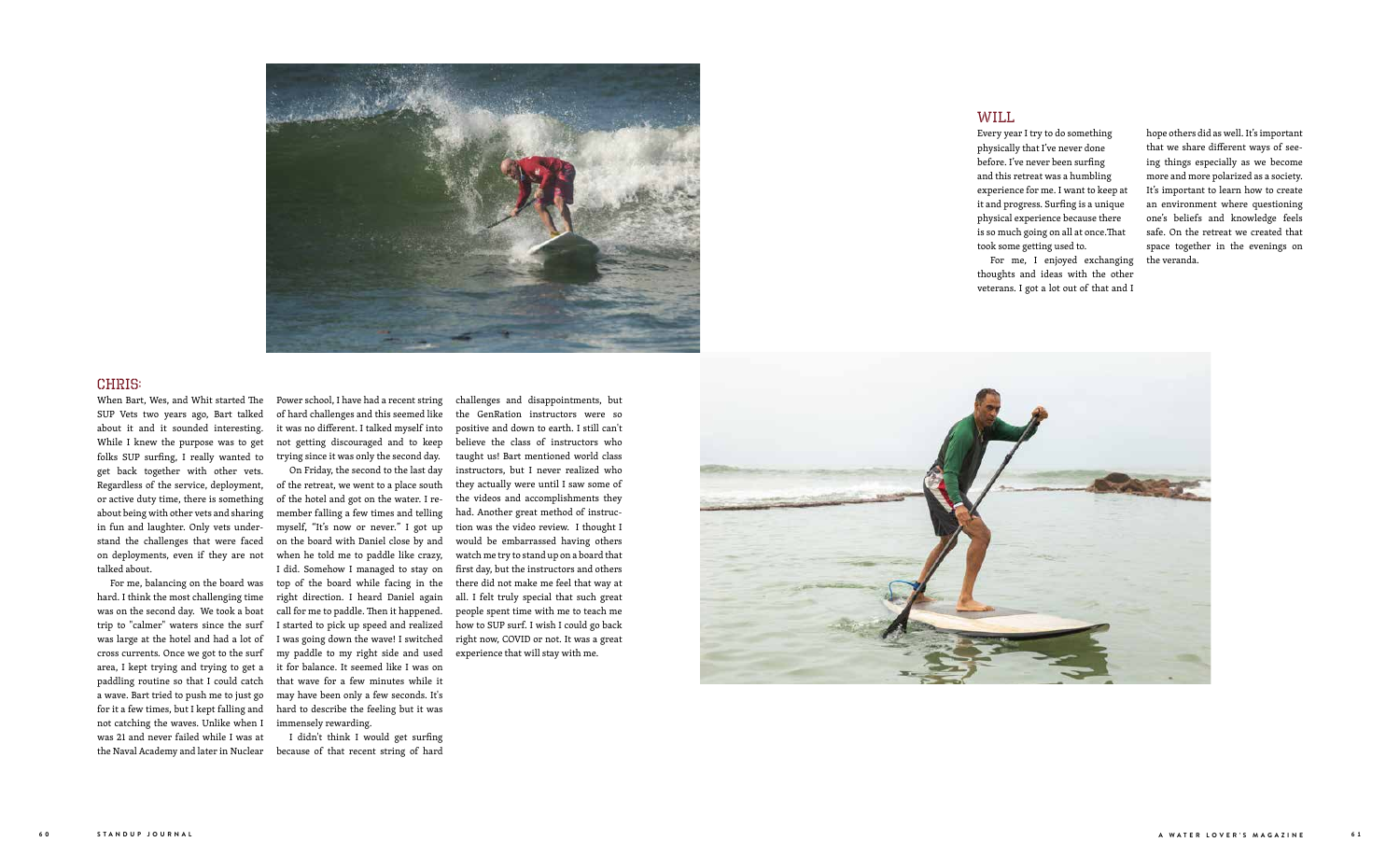

#### CHRIS:

When Bart, Wes, and Whit started The SUP Vets two years ago, Bart talked about it and it sounded interesting. While I knew the purpose was to get folks SUP surfing, I really wanted to get back together with other vets. Regardless of the service, deployment, or active duty time, there is something about being with other vets and sharing in fun and laughter. Only vets understand the challenges that were faced on deployments, even if they are not talked about.

For me, balancing on the board was hard. I think the most challenging time was on the second day. We took a boat trip to "calmer" waters since the surf was large at the hotel and had a lot of cross currents. Once we got to the surf area, I kept trying and trying to get a paddling routine so that I could catch a wave. Bart tried to push me to just go for it a few times, but I kept falling and not catching the waves. Unlike when I was 21 and never failed while I was at the Naval Academy and later in Nuclear

Power school, I have had a recent string of hard challenges and this seemed like it was no different. I talked myself into not getting discouraged and to keep trying since it was only the second day.

On Friday, the second to the last day of the retreat, we went to a place south of the hotel and got on the water. I remember falling a few times and telling myself, "It's now or never." I got up on the board with Daniel close by and when he told me to paddle like crazy, I did. Somehow I managed to stay on top of the board while facing in the right direction. I heard Daniel again call for me to paddle. Then it happened. I started to pick up speed and realized I was going down the wave! I switched my paddle to my right side and used it for balance. It seemed like I was on that wave for a few minutes while it may have been only a few seconds. It's hard to describe the feeling but it was immensely rewarding.

I didn't think I would get surfing because of that recent string of hard

challenges and disappointments, but the GenRation instructors were so positive and down to earth. I still can't believe the class of instructors who taught us! Bart mentioned world class instructors, but I never realized who they actually were until I saw some of the videos and accomplishments they had. Another great method of instruction was the video review. I thought I would be embarrassed having others watch me try to stand up on a board that first day, but the instructors and others there did not make me feel that way at all. I felt truly special that such great people spent time with me to teach me how to SUP surf. I wish I could go back right now, COVID or not. It was a great experience that will stay with me.



#### WILL

Every year I try to do something physically that I've never done before. I've never been surfing and this retreat was a humbling experience for me. I want to keep at it and progress. Surfing is a unique physical experience because there is so much going on all at once.That took some getting used to.

For me, I enjoyed exchanging thoughts and ideas with the other veterans. I got a lot out of that and I

hope others did as well. It's important that we share different ways of seeing things especially as we become more and more polarized as a society. It's important to learn how to create an environment where questioning one's beliefs and knowledge feels safe. On the retreat we created that space together in the evenings on the veranda.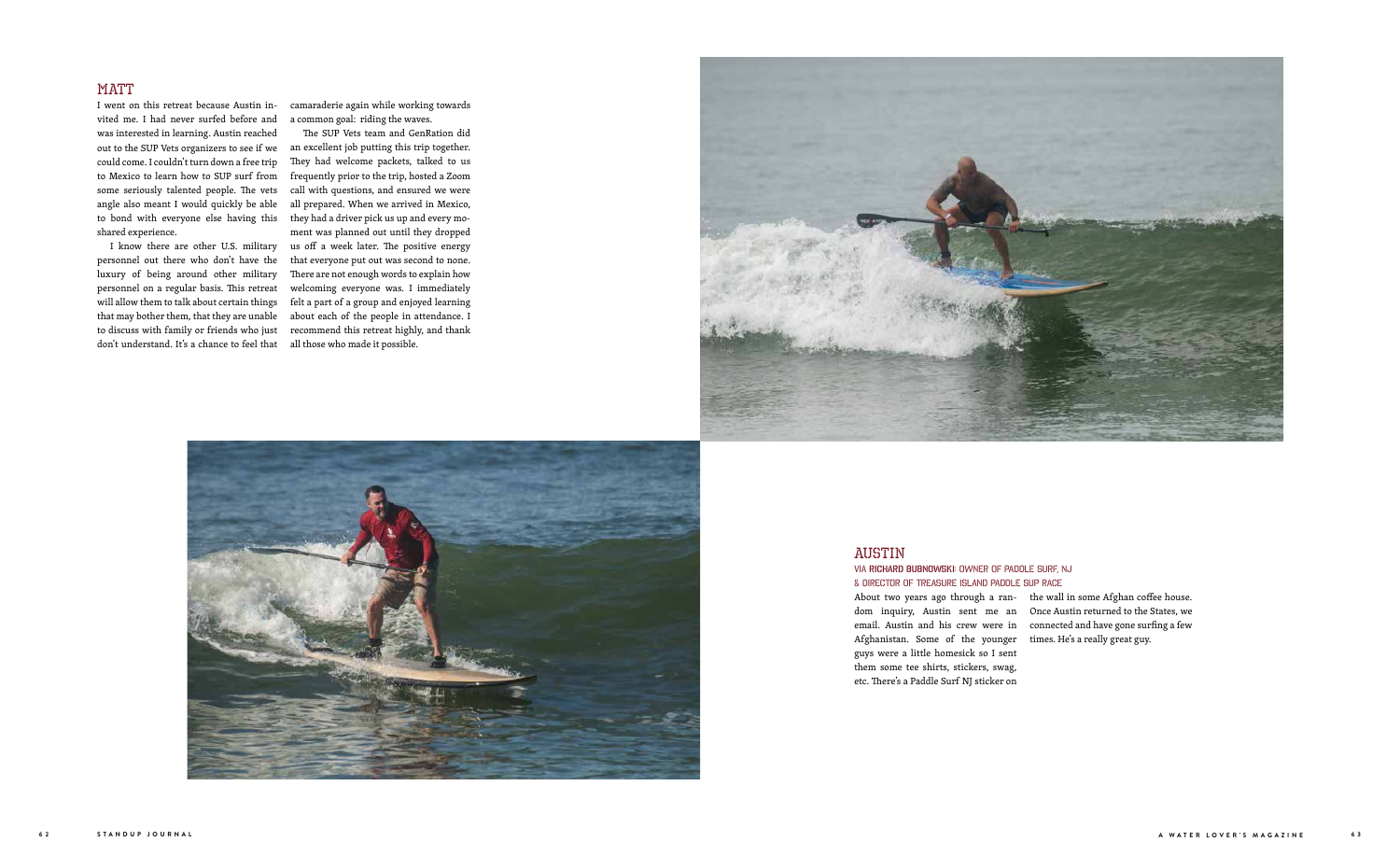### AUSTIN

# Via Richard Bubnowski: Owner of Paddle Surf, NJ

& Director of Treasure Island Paddle SUP Race About two years ago through a random inquiry, Austin sent me an email. Austin and his crew were in Afghanistan. Some of the younger guys were a little homesick so I sent them some tee shirts, stickers, swag, etc. There's a Paddle Surf NJ sticker on

the wall in some Afghan coffee house. Once Austin returned to the States, we connected and have gone surfing a few times. He's a really great guy.

#### **MATT**

I went on this retreat because Austin invited me. I had never surfed before and was interested in learning. Austin reached out to the SUP Vets organizers to see if we could come. I couldn't turn down a free trip to Mexico to learn how to SUP surf from some seriously talented people. The vets angle also meant I would quickly be able to bond with everyone else having this shared experience.

camaraderie again while working towards a common goal: riding the waves.

I know there are other U.S. military us off a week later. The positive energy personnel out there who don't have the that everyone put out was second to none. The SUP Vets team and GenRation did an excellent job putting this trip together. They had welcome packets, talked to us frequently prior to the trip, hosted a Zoom call with questions, and ensured we were all prepared. When we arrived in Mexico, they had a driver pick us up and every moment was planned out until they dropped There are not enough words to explain how welcoming everyone was. I immediately felt a part of a group and enjoyed learning about each of the people in attendance. I recommend this retreat highly, and thank





luxury of being around other military personnel on a regular basis. This retreat will allow them to talk about certain things that may bother them, that they are unable to discuss with family or friends who just don't understand. It's a chance to feel that all those who made it possible.